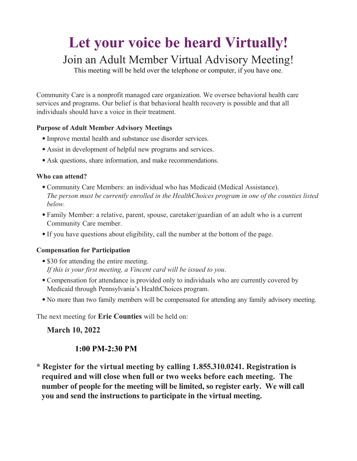# **Let your voice be heard Virtually!** Join an Adult Member Virtual Advisory Meeting!

This meeting will be held over the telephone or computer, if you have one.

Community Care is a nonprofit managed care organization. We oversee behavioral health care services and programs. Our belief is that behavioral health recovery is possible and that all individuals should have a voice in their treatment.

## **Purpose of Adult Member Advisory Meetings**

- •Improve mental health and substance use disorder services.
- Assist in development of helpful new programs and services.
- Ask questions, share information, and make recommendations.

#### **Who can attend?**

- •Community Care Members: an individual who has Medicaid (Medical Assistance). *The person must be currently enrolled in the HealthChoices program in one of the counties listed below.*
- •Family Member: a relative, parent, spouse, caretaker/guardian of an adult who is a current Community Care member.
- •If you have questions about eligibility, call the number at the bottom of the page.

## **Compensation for Participation**

- \$30 for attending the entire meeting. *If this is your first meeting, a Vincent card will be issued to you*.
- •Compensation for attendance is provided only to individuals who are currently covered by Medicaid through Pennsylvania's HealthChoices program.
- No more than two family members will be compensated for attending any family advisory meeting.

The next meeting for **Erie Counties** will be held on:

**March 10, 2022** 

# **1:00 PM-2:30 PM**

**\* Register for the virtual meeting by calling 1.855.310.0241. Registration is required and will close when full or two weeks before each meeting. The number of people for the meeting will be limited, so register early. We will call you and send the instructions to participate in the virtual meeting.**